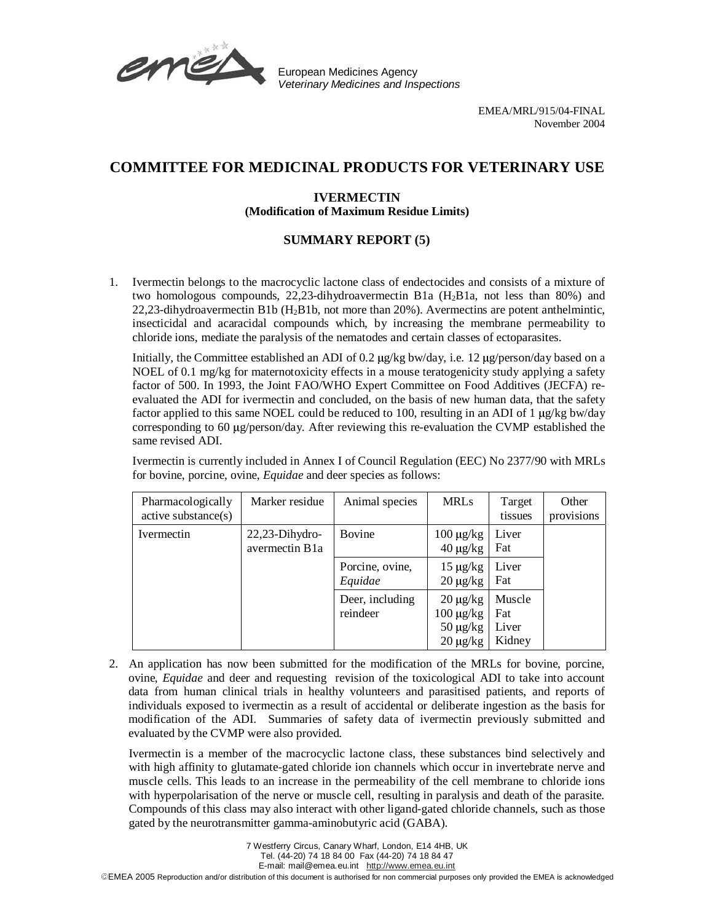

European Medicines Agency Veterinary Medicines and Inspections

## **COMMITTEE FOR MEDICINAL PRODUCTS FOR VETERINARY USE**

## **IVERMECTIN (Modification of Maximum Residue Limits)**

## **SUMMARY REPORT (5)**

1. Ivermectin belongs to the macrocyclic lactone class of endectocides and consists of a mixture of two homologous compounds, 22,23-dihydroavermectin B1a (H2B1a, not less than 80%) and 22,23-dihydroavermectin B1b  $(H_2B1b)$ , not more than 20%). Avermectins are potent anthelmintic, insecticidal and acaracidal compounds which, by increasing the membrane permeability to chloride ions, mediate the paralysis of the nematodes and certain classes of ectoparasites.

Initially, the Committee established an ADI of 0.2 µg/kg bw/day, i.e. 12 µg/person/day based on a NOEL of 0.1 mg/kg for maternotoxicity effects in a mouse teratogenicity study applying a safety factor of 500. In 1993, the Joint FAO/WHO Expert Committee on Food Additives (JECFA) reevaluated the ADI for ivermectin and concluded, on the basis of new human data, that the safety factor applied to this same NOEL could be reduced to 100, resulting in an ADI of 1 µg/kg bw/day corresponding to 60  $\mu$ g/person/day. After reviewing this re-evaluation the CVMP established the same revised ADI.

Ivermectin is currently included in Annex I of Council Regulation (EEC) No 2377/90 with MRLs for bovine, porcine, ovine, *Equidae* and deer species as follows:

| Pharmacologically<br>active substance(s) | Marker residue                      | Animal species              | <b>MRLs</b>                                                       | Target<br>tissues                | Other<br>provisions |
|------------------------------------------|-------------------------------------|-----------------------------|-------------------------------------------------------------------|----------------------------------|---------------------|
| Ivermectin                               | $22,23$ -Dihydro-<br>avermectin B1a | Bovine                      | $100 \mu g/kg$<br>$40 \mu g/kg$                                   | Liver<br>Fat                     |                     |
|                                          |                                     | Porcine, ovine,<br>Equidae  | $15 \mu g/kg$<br>$20 \mu g/kg$                                    | Liver<br>Fat                     |                     |
|                                          |                                     | Deer, including<br>reindeer | $20 \mu g/kg$<br>$100 \mu g/kg$<br>$50 \mu g/kg$<br>$20 \mu g/kg$ | Muscle<br>Fat<br>Liver<br>Kidney |                     |

2. An application has now been submitted for the modification of the MRLs for bovine, porcine, ovine, *Equidae* and deer and requesting revision of the toxicological ADI to take into account data from human clinical trials in healthy volunteers and parasitised patients, and reports of individuals exposed to ivermectin as a result of accidental or deliberate ingestion as the basis for modification of the ADI. Summaries of safety data of ivermectin previously submitted and evaluated by the CVMP were also provided.

Ivermectin is a member of the macrocyclic lactone class, these substances bind selectively and with high affinity to glutamate-gated chloride ion channels which occur in invertebrate nerve and muscle cells. This leads to an increase in the permeability of the cell membrane to chloride ions with hyperpolarisation of the nerve or muscle cell, resulting in paralysis and death of the parasite. Compounds of this class may also interact with other ligand-gated chloride channels, such as those gated by the neurotransmitter gamma-aminobutyric acid (GABA).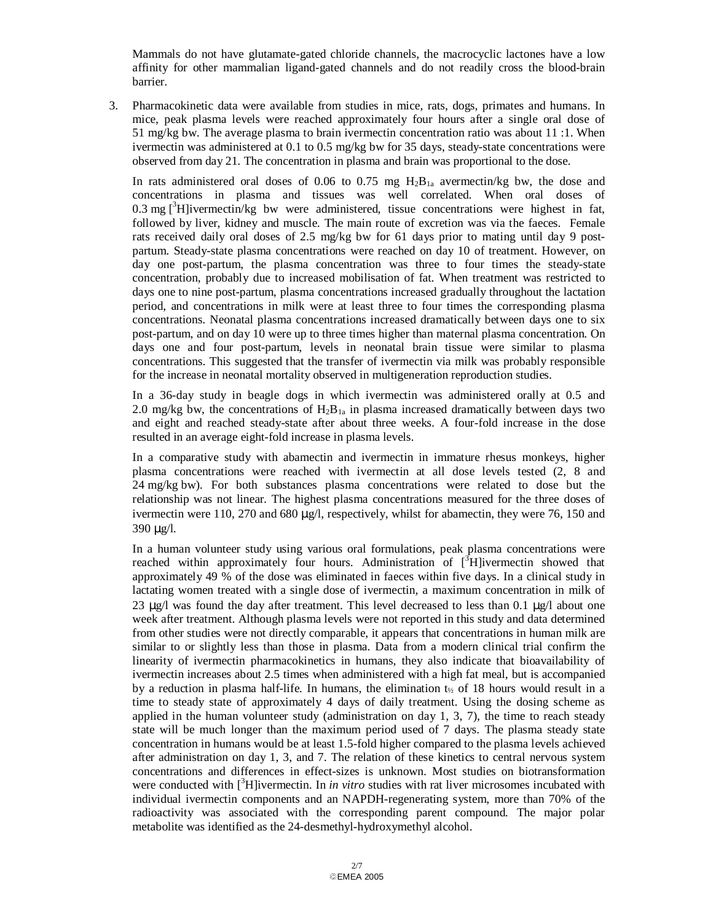Mammals do not have glutamate-gated chloride channels, the macrocyclic lactones have a low affinity for other mammalian ligand-gated channels and do not readily cross the blood-brain barrier.

3. Pharmacokinetic data were available from studies in mice, rats, dogs, primates and humans. In mice, peak plasma levels were reached approximately four hours after a single oral dose of 51 mg/kg bw. The average plasma to brain ivermectin concentration ratio was about 11 :1. When ivermectin was administered at 0.1 to 0.5 mg/kg bw for 35 days, steady-state concentrations were observed from day 21. The concentration in plasma and brain was proportional to the dose.

In rats administered oral doses of 0.06 to 0.75 mg  $H_2B_{1a}$  avermectin/kg bw, the dose and concentrations in plasma and tissues was well correlated. When oral doses of 0.3 mg  $\int_0^3 H$ ]ivermectin/kg bw were administered, tissue concentrations were highest in fat, followed by liver, kidney and muscle. The main route of excretion was via the faeces. Female rats received daily oral doses of 2.5 mg/kg bw for 61 days prior to mating until day 9 postpartum. Steady-state plasma concentrations were reached on day 10 of treatment. However, on day one post-partum, the plasma concentration was three to four times the steady-state concentration, probably due to increased mobilisation of fat. When treatment was restricted to days one to nine post-partum, plasma concentrations increased gradually throughout the lactation period, and concentrations in milk were at least three to four times the corresponding plasma concentrations. Neonatal plasma concentrations increased dramatically between days one to six post-partum, and on day 10 were up to three times higher than maternal plasma concentration. On days one and four post-partum, levels in neonatal brain tissue were similar to plasma concentrations. This suggested that the transfer of ivermectin via milk was probably responsible for the increase in neonatal mortality observed in multigeneration reproduction studies.

In a 36-day study in beagle dogs in which ivermectin was administered orally at 0.5 and 2.0 mg/kg bw, the concentrations of  $H_2B_{1a}$  in plasma increased dramatically between days two and eight and reached steady-state after about three weeks. A four-fold increase in the dose resulted in an average eight-fold increase in plasma levels.

In a comparative study with abamectin and ivermectin in immature rhesus monkeys, higher plasma concentrations were reached with ivermectin at all dose levels tested (2, 8 and 24 mg/kg bw). For both substances plasma concentrations were related to dose but the relationship was not linear. The highest plasma concentrations measured for the three doses of ivermectin were 110, 270 and 680  $\mu$ g/l, respectively, whilst for abamectin, they were 76, 150 and 390 µg/l.

In a human volunteer study using various oral formulations, peak plasma concentrations were reached within approximately four hours. Administration of [<sup>3</sup>H]ivermectin showed that approximately 49 % of the dose was eliminated in faeces within five days. In a clinical study in lactating women treated with a single dose of ivermectin, a maximum concentration in milk of 23  $\mu$ g/l was found the day after treatment. This level decreased to less than 0.1  $\mu$ g/l about one week after treatment. Although plasma levels were not reported in this study and data determined from other studies were not directly comparable, it appears that concentrations in human milk are similar to or slightly less than those in plasma. Data from a modern clinical trial confirm the linearity of ivermectin pharmacokinetics in humans, they also indicate that bioavailability of ivermectin increases about 2.5 times when administered with a high fat meal, but is accompanied by a reduction in plasma half-life. In humans, the elimination  $t_{\gamma}$  of 18 hours would result in a time to steady state of approximately 4 days of daily treatment. Using the dosing scheme as applied in the human volunteer study (administration on day  $1, 3, 7$ ), the time to reach steady state will be much longer than the maximum period used of 7 days. The plasma steady state concentration in humans would be at least 1.5-fold higher compared to the plasma levels achieved after administration on day 1, 3, and 7. The relation of these kinetics to central nervous system concentrations and differences in effect-sizes is unknown. Most studies on biotransformation were conducted with [<sup>3</sup>H]ivermectin. In *in vitro* studies with rat liver microsomes incubated with individual ivermectin components and an NAPDH-regenerating system, more than 70% of the radioactivity was associated with the corresponding parent compound. The major polar metabolite was identified as the 24-desmethyl-hydroxymethyl alcohol.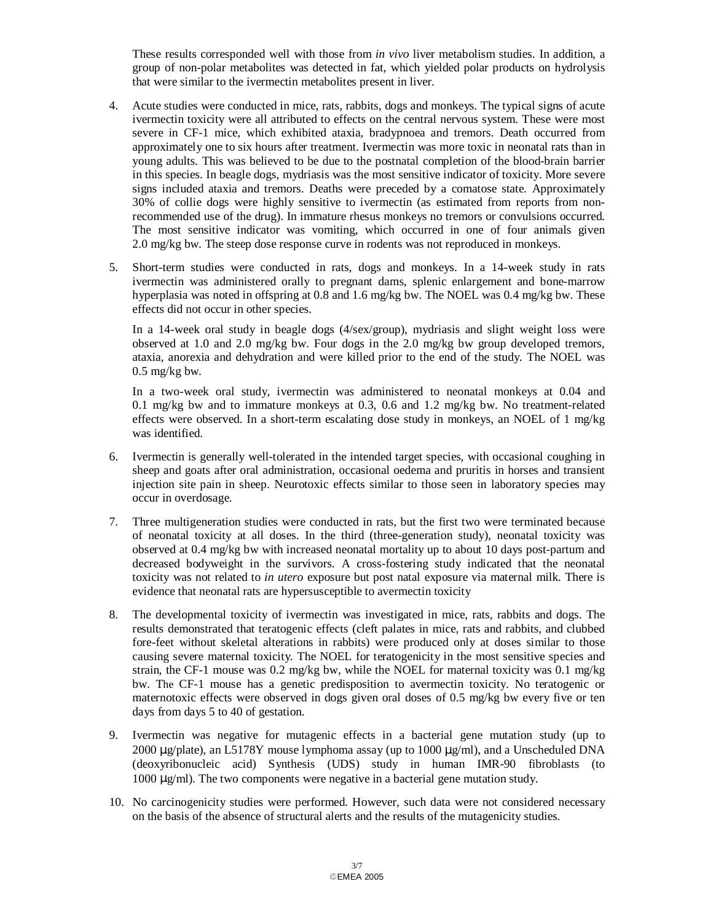These results corresponded well with those from *in vivo* liver metabolism studies. In addition, a group of non-polar metabolites was detected in fat, which yielded polar products on hydrolysis that were similar to the ivermectin metabolites present in liver.

- 4. Acute studies were conducted in mice, rats, rabbits, dogs and monkeys. The typical signs of acute ivermectin toxicity were all attributed to effects on the central nervous system. These were most severe in CF-1 mice, which exhibited ataxia, bradypnoea and tremors. Death occurred from approximately one to six hours after treatment. Ivermectin was more toxic in neonatal rats than in young adults. This was believed to be due to the postnatal completion of the blood-brain barrier in this species. In beagle dogs, mydriasis was the most sensitive indicator of toxicity. More severe signs included ataxia and tremors. Deaths were preceded by a comatose state. Approximately 30% of collie dogs were highly sensitive to ivermectin (as estimated from reports from nonrecommended use of the drug). In immature rhesus monkeys no tremors or convulsions occurred. The most sensitive indicator was vomiting, which occurred in one of four animals given 2.0 mg/kg bw. The steep dose response curve in rodents was not reproduced in monkeys.
- 5. Short-term studies were conducted in rats, dogs and monkeys. In a 14-week study in rats ivermectin was administered orally to pregnant dams, splenic enlargement and bone-marrow hyperplasia was noted in offspring at 0.8 and 1.6 mg/kg bw. The NOEL was 0.4 mg/kg bw. These effects did not occur in other species.

In a 14-week oral study in beagle dogs (4/sex/group), mydriasis and slight weight loss were observed at 1.0 and 2.0 mg/kg bw. Four dogs in the 2.0 mg/kg bw group developed tremors, ataxia, anorexia and dehydration and were killed prior to the end of the study. The NOEL was  $0.5$  mg/kg bw.

In a two-week oral study, ivermectin was administered to neonatal monkeys at 0.04 and 0.1 mg/kg bw and to immature monkeys at 0.3, 0.6 and 1.2 mg/kg bw. No treatment-related effects were observed. In a short-term escalating dose study in monkeys, an NOEL of 1 mg/kg was identified.

- 6. Ivermectin is generally well-tolerated in the intended target species, with occasional coughing in sheep and goats after oral administration, occasional oedema and pruritis in horses and transient injection site pain in sheep. Neurotoxic effects similar to those seen in laboratory species may occur in overdosage.
- 7. Three multigeneration studies were conducted in rats, but the first two were terminated because of neonatal toxicity at all doses. In the third (three-generation study), neonatal toxicity was observed at 0.4 mg/kg bw with increased neonatal mortality up to about 10 days post-partum and decreased bodyweight in the survivors. A cross-fostering study indicated that the neonatal toxicity was not related to *in utero* exposure but post natal exposure via maternal milk. There is evidence that neonatal rats are hypersusceptible to avermectin toxicity
- 8. The developmental toxicity of ivermectin was investigated in mice, rats, rabbits and dogs. The results demonstrated that teratogenic effects (cleft palates in mice, rats and rabbits, and clubbed fore-feet without skeletal alterations in rabbits) were produced only at doses similar to those causing severe maternal toxicity. The NOEL for teratogenicity in the most sensitive species and strain, the CF-1 mouse was 0.2 mg/kg bw, while the NOEL for maternal toxicity was 0.1 mg/kg bw. The CF-1 mouse has a genetic predisposition to avermectin toxicity. No teratogenic or maternotoxic effects were observed in dogs given oral doses of 0.5 mg/kg bw every five or ten days from days 5 to 40 of gestation.
- 9. Ivermectin was negative for mutagenic effects in a bacterial gene mutation study (up to 2000 µg/plate), an L5178Y mouse lymphoma assay (up to 1000 µg/ml), and a Unscheduled DNA (deoxyribonucleic acid) Synthesis (UDS) study in human IMR-90 fibroblasts (to 1000 µg/ml). The two components were negative in a bacterial gene mutation study.
- 10. No carcinogenicity studies were performed. However, such data were not considered necessary on the basis of the absence of structural alerts and the results of the mutagenicity studies.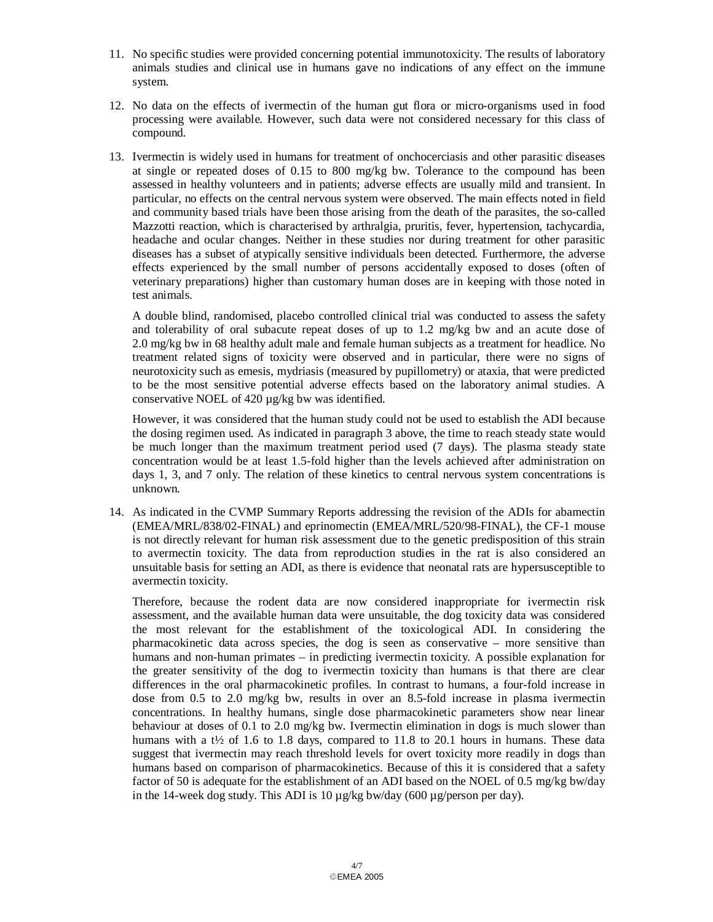- 11. No specific studies were provided concerning potential immunotoxicity. The results of laboratory animals studies and clinical use in humans gave no indications of any effect on the immune system.
- 12. No data on the effects of ivermectin of the human gut flora or micro-organisms used in food processing were available. However, such data were not considered necessary for this class of compound.
- 13. Ivermectin is widely used in humans for treatment of onchocerciasis and other parasitic diseases at single or repeated doses of 0.15 to 800 mg/kg bw. Tolerance to the compound has been assessed in healthy volunteers and in patients; adverse effects are usually mild and transient. In particular, no effects on the central nervous system were observed. The main effects noted in field and community based trials have been those arising from the death of the parasites, the so-called Mazzotti reaction, which is characterised by arthralgia, pruritis, fever, hypertension, tachycardia, headache and ocular changes. Neither in these studies nor during treatment for other parasitic diseases has a subset of atypically sensitive individuals been detected. Furthermore, the adverse effects experienced by the small number of persons accidentally exposed to doses (often of veterinary preparations) higher than customary human doses are in keeping with those noted in test animals.

A double blind, randomised, placebo controlled clinical trial was conducted to assess the safety and tolerability of oral subacute repeat doses of up to 1.2 mg/kg bw and an acute dose of 2.0 mg/kg bw in 68 healthy adult male and female human subjects as a treatment for headlice. No treatment related signs of toxicity were observed and in particular, there were no signs of neurotoxicity such as emesis, mydriasis (measured by pupillometry) or ataxia, that were predicted to be the most sensitive potential adverse effects based on the laboratory animal studies. A conservative NOEL of 420 µg/kg bw was identified.

However, it was considered that the human study could not be used to establish the ADI because the dosing regimen used. As indicated in paragraph 3 above, the time to reach steady state would be much longer than the maximum treatment period used (7 days). The plasma steady state concentration would be at least 1.5-fold higher than the levels achieved after administration on days 1, 3, and 7 only. The relation of these kinetics to central nervous system concentrations is unknown.

14. As indicated in the CVMP Summary Reports addressing the revision of the ADIs for abamectin (EMEA/MRL/838/02-FINAL) and eprinomectin (EMEA/MRL/520/98-FINAL), the CF-1 mouse is not directly relevant for human risk assessment due to the genetic predisposition of this strain to avermectin toxicity. The data from reproduction studies in the rat is also considered an unsuitable basis for setting an ADI, as there is evidence that neonatal rats are hypersusceptible to avermectin toxicity.

Therefore, because the rodent data are now considered inappropriate for ivermectin risk assessment, and the available human data were unsuitable, the dog toxicity data was considered the most relevant for the establishment of the toxicological ADI. In considering the pharmacokinetic data across species, the dog is seen as conservative – more sensitive than humans and non-human primates – in predicting ivermectin toxicity. A possible explanation for the greater sensitivity of the dog to ivermectin toxicity than humans is that there are clear differences in the oral pharmacokinetic profiles. In contrast to humans, a four-fold increase in dose from 0.5 to 2.0 mg/kg bw, results in over an 8.5-fold increase in plasma ivermectin concentrations. In healthy humans, single dose pharmacokinetic parameters show near linear behaviour at doses of 0.1 to 2.0 mg/kg bw. Ivermectin elimination in dogs is much slower than humans with a t<sup> $\frac{1}{2}$ </sup> of 1.6 to 1.8 days, compared to 11.8 to 20.1 hours in humans. These data suggest that ivermectin may reach threshold levels for overt toxicity more readily in dogs than humans based on comparison of pharmacokinetics. Because of this it is considered that a safety factor of 50 is adequate for the establishment of an ADI based on the NOEL of 0.5 mg/kg bw/day in the 14-week dog study. This ADI is 10  $\mu$ g/kg bw/day (600  $\mu$ g/person per day).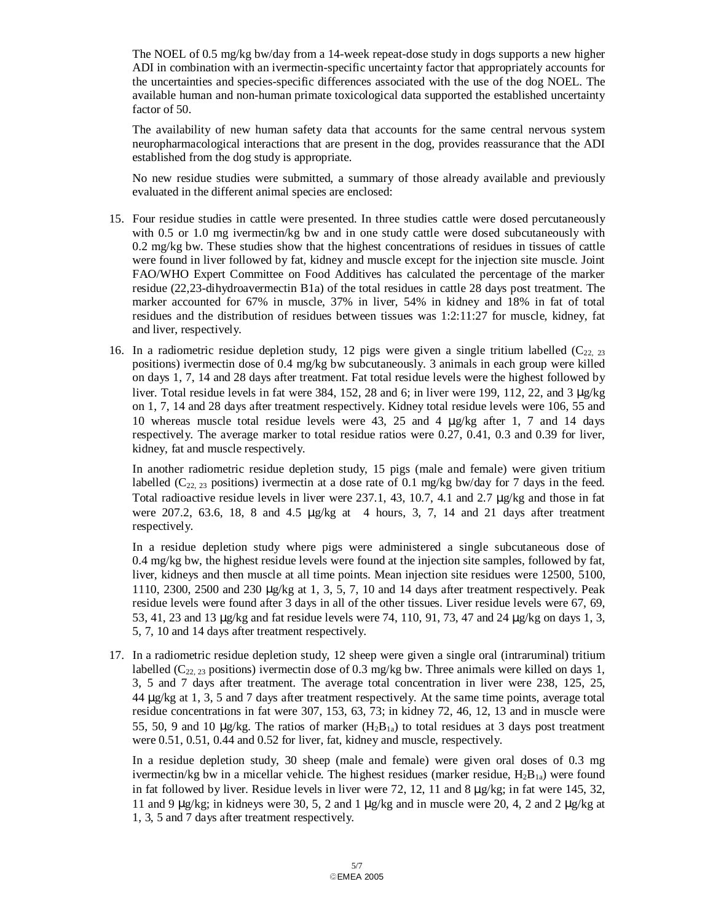The NOEL of 0.5 mg/kg bw/day from a 14-week repeat-dose study in dogs supports a new higher ADI in combination with an ivermectin-specific uncertainty factor that appropriately accounts for the uncertainties and species-specific differences associated with the use of the dog NOEL. The available human and non-human primate toxicological data supported the established uncertainty factor of 50.

The availability of new human safety data that accounts for the same central nervous system neuropharmacological interactions that are present in the dog, provides reassurance that the ADI established from the dog study is appropriate.

No new residue studies were submitted, a summary of those already available and previously evaluated in the different animal species are enclosed:

- 15. Four residue studies in cattle were presented. In three studies cattle were dosed percutaneously with 0.5 or 1.0 mg ivermectin/kg bw and in one study cattle were dosed subcutaneously with 0.2 mg/kg bw. These studies show that the highest concentrations of residues in tissues of cattle were found in liver followed by fat, kidney and muscle except for the injection site muscle. Joint FAO/WHO Expert Committee on Food Additives has calculated the percentage of the marker residue (22,23-dihydroavermectin B1a) of the total residues in cattle 28 days post treatment. The marker accounted for 67% in muscle, 37% in liver, 54% in kidney and 18% in fat of total residues and the distribution of residues between tissues was 1:2:11:27 for muscle, kidney, fat and liver, respectively.
- 16. In a radiometric residue depletion study, 12 pigs were given a single tritium labelled  $(C_{22, 23})$ positions) ivermectin dose of 0.4 mg/kg bw subcutaneously. 3 animals in each group were killed on days 1, 7, 14 and 28 days after treatment. Fat total residue levels were the highest followed by liver. Total residue levels in fat were 384, 152, 28 and 6; in liver were 199, 112, 22, and 3  $\mu$ g/kg on 1, 7, 14 and 28 days after treatment respectively. Kidney total residue levels were 106, 55 and 10 whereas muscle total residue levels were 43, 25 and 4  $\mu$ g/kg after 1, 7 and 14 days respectively. The average marker to total residue ratios were 0.27, 0.41, 0.3 and 0.39 for liver, kidney, fat and muscle respectively.

In another radiometric residue depletion study, 15 pigs (male and female) were given tritium labelled ( $C_{22, 23}$  positions) ivermectin at a dose rate of 0.1 mg/kg bw/day for 7 days in the feed. Total radioactive residue levels in liver were 237.1, 43, 10.7, 4.1 and 2.7  $\mu$ g/kg and those in fat were 207.2, 63.6, 18, 8 and 4.5 µg/kg at 4 hours, 3, 7, 14 and 21 days after treatment respectively.

In a residue depletion study where pigs were administered a single subcutaneous dose of 0.4 mg/kg bw, the highest residue levels were found at the injection site samples, followed by fat, liver, kidneys and then muscle at all time points. Mean injection site residues were 12500, 5100, 1110, 2300, 2500 and 230  $\mu$ g/kg at 1, 3, 5, 7, 10 and 14 days after treatment respectively. Peak residue levels were found after 3 days in all of the other tissues. Liver residue levels were 67, 69, 53, 41, 23 and 13 µg/kg and fat residue levels were 74, 110, 91, 73, 47 and 24 µg/kg on days 1, 3, 5, 7, 10 and 14 days after treatment respectively.

17. In a radiometric residue depletion study, 12 sheep were given a single oral (intraruminal) tritium labelled ( $C_{22, 23}$  positions) ivermectin dose of 0.3 mg/kg bw. Three animals were killed on days 1, 3, 5 and 7 days after treatment. The average total concentration in liver were 238, 125, 25, 44 µg/kg at 1, 3, 5 and 7 days after treatment respectively. At the same time points, average total residue concentrations in fat were 307, 153, 63, 73; in kidney 72, 46, 12, 13 and in muscle were 55, 50, 9 and 10  $\mu$ g/kg. The ratios of marker (H<sub>2</sub>B<sub>1a</sub>) to total residues at 3 days post treatment were 0.51, 0.51, 0.44 and 0.52 for liver, fat, kidney and muscle, respectively.

In a residue depletion study, 30 sheep (male and female) were given oral doses of 0.3 mg ivermectin/kg bw in a micellar vehicle. The highest residues (marker residue,  $H_2B_{1a}$ ) were found in fat followed by liver. Residue levels in liver were 72, 12, 11 and 8  $\mu$ g/kg; in fat were 145, 32, 11 and 9  $\mu$ g/kg; in kidneys were 30, 5, 2 and 1  $\mu$ g/kg and in muscle were 20, 4, 2 and 2  $\mu$ g/kg at 1, 3, 5 and 7 days after treatment respectively.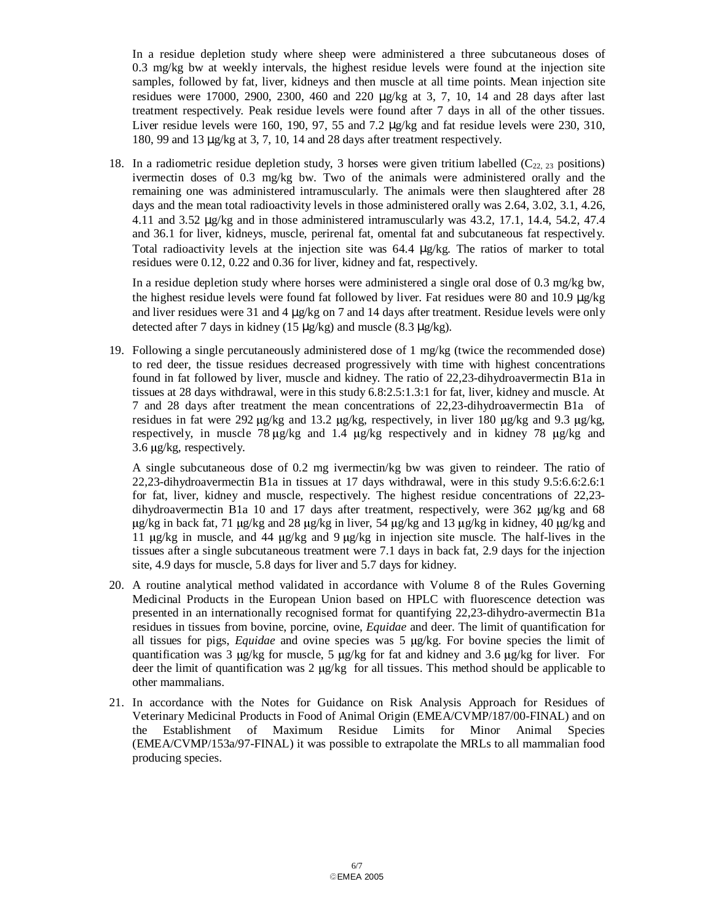In a residue depletion study where sheep were administered a three subcutaneous doses of 0.3 mg/kg bw at weekly intervals, the highest residue levels were found at the injection site samples, followed by fat, liver, kidneys and then muscle at all time points. Mean injection site residues were 17000, 2900, 2300, 460 and 220 µg/kg at 3, 7, 10, 14 and 28 days after last treatment respectively. Peak residue levels were found after 7 days in all of the other tissues. Liver residue levels were 160, 190, 97, 55 and 7.2  $\mu$ g/kg and fat residue levels were 230, 310, 180, 99 and 13 µg/kg at 3, 7, 10, 14 and 28 days after treatment respectively.

18. In a radiometric residue depletion study, 3 horses were given tritium labelled  $(C_{22, 23}$  positions) ivermectin doses of 0.3 mg/kg bw. Two of the animals were administered orally and the remaining one was administered intramuscularly. The animals were then slaughtered after 28 days and the mean total radioactivity levels in those administered orally was 2.64, 3.02, 3.1, 4.26, 4.11 and 3.52 µg/kg and in those administered intramuscularly was 43.2, 17.1, 14.4, 54.2, 47.4 and 36.1 for liver, kidneys, muscle, perirenal fat, omental fat and subcutaneous fat respectively. Total radioactivity levels at the injection site was 64.4 µg/kg. The ratios of marker to total residues were 0.12, 0.22 and 0.36 for liver, kidney and fat, respectively.

In a residue depletion study where horses were administered a single oral dose of 0.3 mg/kg bw, the highest residue levels were found fat followed by liver. Fat residues were 80 and 10.9 µg/kg and liver residues were 31 and 4  $\mu$ g/kg on 7 and 14 days after treatment. Residue levels were only detected after 7 days in kidney (15  $\mu$ g/kg) and muscle (8.3  $\mu$ g/kg).

19. Following a single percutaneously administered dose of 1 mg/kg (twice the recommended dose) to red deer, the tissue residues decreased progressively with time with highest concentrations found in fat followed by liver, muscle and kidney. The ratio of 22,23-dihydroavermectin B1a in tissues at 28 days withdrawal, were in this study 6.8:2.5:1.3:1 for fat, liver, kidney and muscle. At 7 and 28 days after treatment the mean concentrations of 22,23-dihydroavermectin B1a of residues in fat were 292  $\mu$ g/kg and 13.2  $\mu$ g/kg, respectively, in liver 180  $\mu$ g/kg and 9.3  $\mu$ g/kg, respectively, in muscle 78 µg/kg and 1.4 µg/kg respectively and in kidney 78 µg/kg and 3.6 µg/kg, respectively.

A single subcutaneous dose of 0.2 mg ivermectin/kg bw was given to reindeer. The ratio of 22,23-dihydroavermectin B1a in tissues at 17 days withdrawal, were in this study 9.5:6.6:2.6:1 for fat, liver, kidney and muscle, respectively. The highest residue concentrations of 22,23 dihydroavermectin B1a 10 and 17 days after treatment, respectively, were  $362 \mu g/kg$  and  $68$ <sup>µ</sup>g/kg in back fat, 71 µg/kg and 28 µg/kg in liver, 54 µg/kg and 13 µg/kg in kidney, 40 µg/kg and <sup>11</sup>µg/kg in muscle, and 44 µg/kg and 9 µg/kg in injection site muscle. The half-lives in the tissues after a single subcutaneous treatment were 7.1 days in back fat, 2.9 days for the injection site, 4.9 days for muscle, 5.8 days for liver and 5.7 days for kidney.

- 20. A routine analytical method validated in accordance with Volume 8 of the Rules Governing Medicinal Products in the European Union based on HPLC with fluorescence detection was presented in an internationally recognised format for quantifying 22,23-dihydro-avermectin B1a residues in tissues from bovine, porcine, ovine, *Equidae* and deer. The limit of quantification for all tissues for pigs, *Equidae* and ovine species was 5 µg/kg. For bovine species the limit of quantification was 3  $\mu$ g/kg for muscle, 5  $\mu$ g/kg for fat and kidney and 3.6  $\mu$ g/kg for liver. For deer the limit of quantification was 2 µg/kg for all tissues. This method should be applicable to other mammalians.
- 21. In accordance with the Notes for Guidance on Risk Analysis Approach for Residues of Veterinary Medicinal Products in Food of Animal Origin (EMEA/CVMP/187/00-FINAL) and on the Establishment of Maximum Residue Limits for Minor Animal Species (EMEA/CVMP/153a/97-FINAL) it was possible to extrapolate the MRLs to all mammalian food producing species.